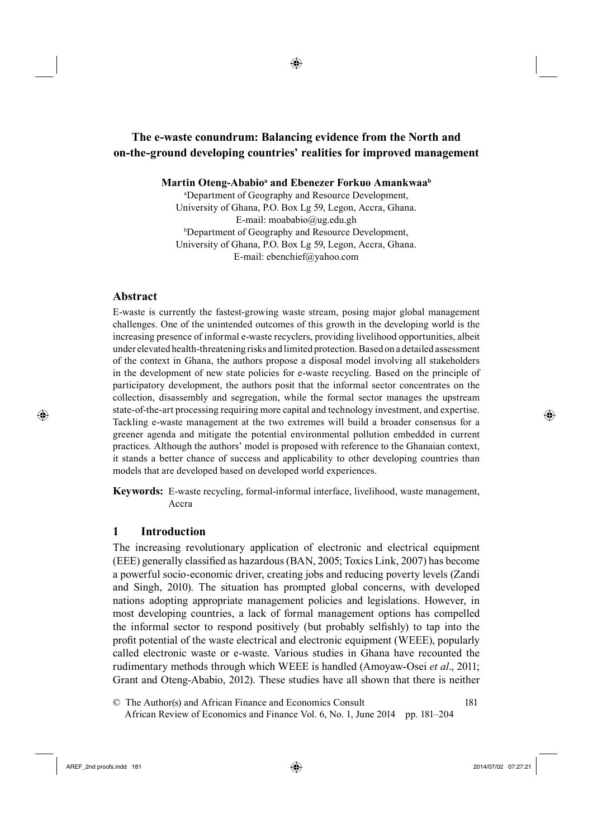# <sup>11</sup>**The e-waste conundrum: Balancing evidence from the North and on-the-ground developing countries' realities for improved management**

Martin Oteng-Ababio<sup>a</sup> and Ebenezer Forkuo Amankwaa<sup>b</sup>

a Department of Geography and Resource Development, University of Ghana, P.O. Box Lg 59, Legon, Accra, Ghana. E-mail: moababio@ug.edu.gh b Department of Geography and Resource Development, University of Ghana, P.O. Box Lg 59, Legon, Accra, Ghana. E-mail: ebenchief@yahoo.com

#### **Abstract**

⊕

E-waste is currently the fastest-growing waste stream, posing major global management challenges. One of the unintended outcomes of this growth in the developing world is the increasing presence of informal e-waste recyclers, providing livelihood opportunities, albeit under elevated health-threatening risks and limited protection. Based on a detailed assessment of the context in Ghana, the authors propose a disposal model involving all stakeholders in the development of new state policies for e-waste recycling. Based on the principle of participatory development, the authors posit that the informal sector concentrates on the collection, disassembly and segregation, while the formal sector manages the upstream state-of-the-art processing requiring more capital and technology investment, and expertise. Tackling e-waste management at the two extremes will build a broader consensus for a greener agenda and mitigate the potential environmental pollution embedded in current practices. Although the authors' model is proposed with reference to the Ghanaian context, it stands a better chance of success and applicability to other developing countries than models that are developed based on developed world experiences.

**Keywords:** E-waste recycling, formal-informal interface, livelihood, waste management, Accra

# **1 Introduction**

The increasing revolutionary application of electronic and electrical equipment (EEE) generally classified as hazardous (BAN, 2005; Toxics Link, 2007) has become a powerful socio-economic driver, creating jobs and reducing poverty levels (Zandi and Singh, 2010). The situation has prompted global concerns, with developed nations adopting appropriate management policies and legislations. However, in most developing countries, a lack of formal management options has compelled the informal sector to respond positively (but probably selfishly) to tap into the profi t potential of the waste electrical and electronic equipment (WEEE), popularly called electronic waste or e-waste. Various studies in Ghana have recounted the rudimentary methods through which WEEE is handled (Amoyaw-Osei *et al*., 2011; Grant and Oteng-Ababio, 2012). These studies have all shown that there is neither

37© The Author(s) and African Finance and Economics Consult 181 38 African Review of Economics and Finance Vol. 6, No. 1, June 2014 pp. 181–204

AREF\_2nd proofs.indd 181 2014/07/02 07:27:21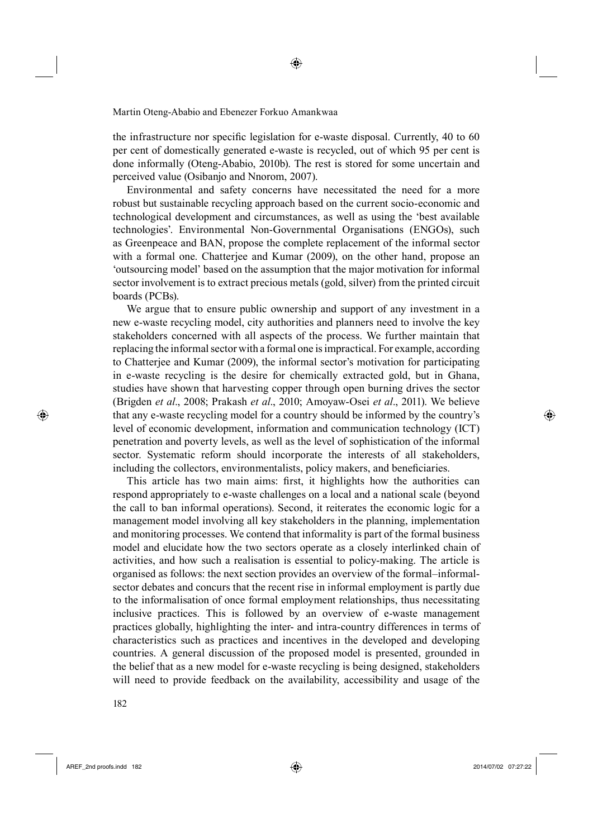the infrastructure nor specific legislation for e-waste disposal. Currently, 40 to 60 per cent of domestically generated e-waste is recycled, out of which 95 per cent is done informally (Oteng-Ababio, 2010b). The rest is stored for some uncertain and perceived value (Osibanjo and Nnorom, 2007).

Environmental and safety concerns have necessitated the need for a more robust but sustainable recycling approach based on the current socio-economic and technological development and circumstances, as well as using the 'best available technologies'. Environmental Non-Governmental Organisations (ENGOs), such as Greenpeace and BAN, propose the complete replacement of the informal sector with a formal one. Chatterjee and Kumar (2009), on the other hand, propose an 'outsourcing model' based on the assumption that the major motivation for informal sector involvement is to extract precious metals (gold, silver) from the printed circuit boards (PCBs).

We argue that to ensure public ownership and support of any investment in a new e-waste recycling model, city authorities and planners need to involve the key stakeholders concerned with all aspects of the process. We further maintain that replacing the informal sector with a formal one is impractical. For example, according to Chatterjee and Kumar (2009), the informal sector's motivation for participating in e-waste recycling is the desire for chemically extracted gold, but in Ghana, studies have shown that harvesting copper through open burning drives the sector (Brigden *et al*., 2008; Prakash *et al*., 2010; Amoyaw-Osei *et al*., 2011). We believe that any e-waste recycling model for a country should be informed by the country's level of economic development, information and communication technology (ICT) penetration and poverty levels, as well as the level of sophistication of the informal sector. Systematic reform should incorporate the interests of all stakeholders, including the collectors, environmentalists, policy makers, and beneficiaries.

This article has two main aims: first, it highlights how the authorities can respond appropriately to e-waste challenges on a local and a national scale (beyond the call to ban informal operations). Second, it reiterates the economic logic for a management model involving all key stakeholders in the planning, implementation and monitoring processes. We contend that informality is part of the formal business model and elucidate how the two sectors operate as a closely interlinked chain of activities, and how such a realisation is essential to policy-making. The article is organised as follows: the next section provides an overview of the formal–informalsector debates and concurs that the recent rise in informal employment is partly due to the informalisation of once formal employment relationships, thus necessitating inclusive practices. This is followed by an overview of e-waste management practices globally, highlighting the inter- and intra-country differences in terms of characteristics such as practices and incentives in the developed and developing countries. A general discussion of the proposed model is presented, grounded in the belief that as a new model for e-waste recycling is being designed, stakeholders will need to provide feedback on the availability, accessibility and usage of the

182

AREF\_2nd proofs.indd 182 2014/07/02 07:27:22

⊕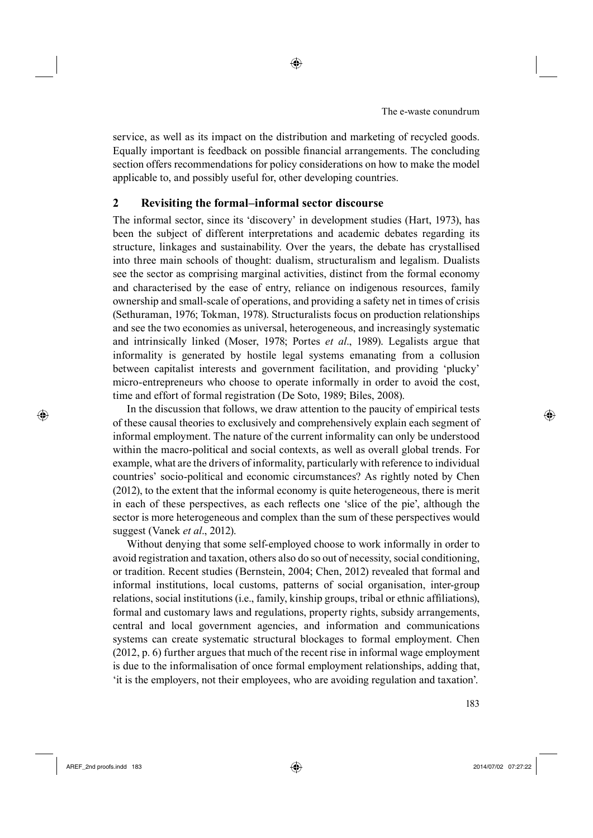service, as well as its impact on the distribution and marketing of recycled goods. Equally important is feedback on possible financial arrangements. The concluding section offers recommendations for policy considerations on how to make the model applicable to, and possibly useful for, other developing countries.

## **2 Revisiting the formal–informal sector discourse**

The informal sector, since its 'discovery' in development studies (Hart, 1973), has been the subject of different interpretations and academic debates regarding its structure, linkages and sustainability. Over the years, the debate has crystallised into three main schools of thought: dualism, structuralism and legalism. Dualists see the sector as comprising marginal activities, distinct from the formal economy and characterised by the ease of entry, reliance on indigenous resources, family ownership and small-scale of operations, and providing a safety net in times of crisis (Sethuraman, 1976; Tokman, 1978). Structuralists focus on production relationships and see the two economies as universal, heterogeneous, and increasingly systematic and intrinsically linked (Moser, 1978; Portes *et al*., 1989). Legalists argue that informality is generated by hostile legal systems emanating from a collusion between capitalist interests and government facilitation, and providing 'plucky' micro-entrepreneurs who choose to operate informally in order to avoid the cost, time and effort of formal registration (De Soto, 1989; Biles, 2008).

In the discussion that follows, we draw attention to the paucity of empirical tests of these causal theories to exclusively and comprehensively explain each segment of informal employment. The nature of the current informality can only be understood within the macro-political and social contexts, as well as overall global trends. For example, what are the drivers of informality, particularly with reference to individual countries' socio-political and economic circumstances? As rightly noted by Chen (2012), to the extent that the informal economy is quite heterogeneous, there is merit in each of these perspectives, as each reflects one 'slice of the pie', although the sector is more heterogeneous and complex than the sum of these perspectives would suggest (Vanek *et al*., 2012).

Without denying that some self-employed choose to work informally in order to avoid registration and taxation, others also do so out of necessity, social conditioning, or tradition. Recent studies (Bernstein, 2004; Chen, 2012) revealed that formal and informal institutions, local customs, patterns of social organisation, inter-group relations, social institutions (i.e., family, kinship groups, tribal or ethnic affiliations), formal and customary laws and regulations, property rights, subsidy arrangements, central and local government agencies, and information and communications systems can create systematic structural blockages to formal employment. Chen (2012, p. 6) further argues that much of the recent rise in informal wage employment is due to the informalisation of once formal employment relationships, adding that, 'it is the employers, not their employees, who are avoiding regulation and taxation'.

♠

⊕

<sup>6</sup> 183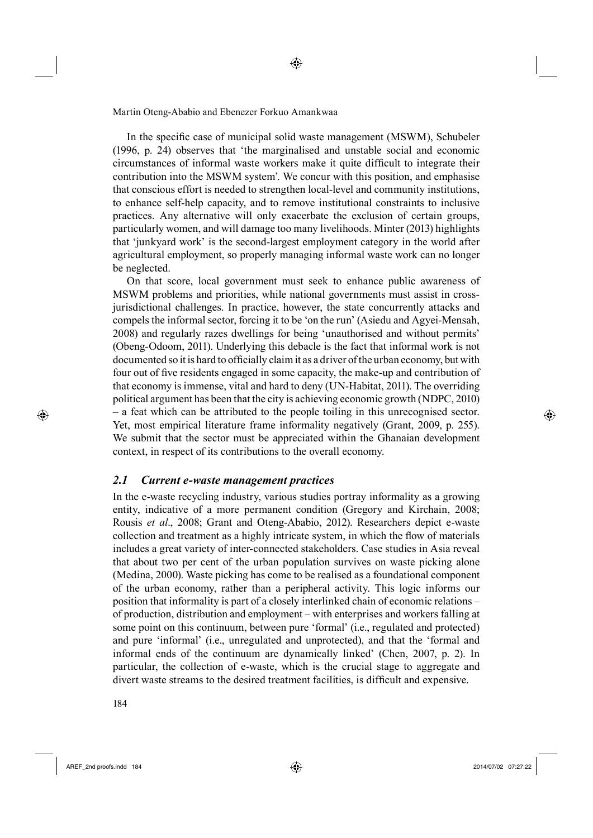In the specific case of municipal solid waste management (MSWM), Schubeler (1996, p. 24) observes that 'the marginalised and unstable social and economic circumstances of informal waste workers make it quite difficult to integrate their contribution into the MSWM system'. We concur with this position, and emphasise that conscious effort is needed to strengthen local-level and community institutions, to enhance self-help capacity, and to remove institutional constraints to inclusive practices. Any alternative will only exacerbate the exclusion of certain groups, particularly women, and will damage too many livelihoods. Minter (2013) highlights that 'junkyard work' is the second-largest employment category in the world after agricultural employment, so properly managing informal waste work can no longer be neglected.

245On that score, local government must seek to enhance public awareness of MSWM problems and priorities, while national governments must assist in crossjurisdictional challenges. In practice, however, the state concurrently attacks and compels the informal sector, forcing it to be 'on the run' (Asiedu and Agyei-Mensah, 2008) and regularly razes dwellings for being 'unauthorised and without permits' (Obeng-Odoom, 2011). Underlying this debacle is the fact that informal work is not documented so it is hard to officially claim it as a driver of the urban economy, but with four out of five residents engaged in some capacity, the make-up and contribution of that economy is immense, vital and hard to deny (UN-Habitat, 2011). The overriding political argument has been that the city is achieving economic growth (NDPC, 2010) – a feat which can be attributed to the people toiling in this unrecognised sector. Yet, most empirical literature frame informality negatively (Grant, 2009, p. 255). We submit that the sector must be appreciated within the Ghanaian development context, in respect of its contributions to the overall economy.

#### *2.1 Current e-waste management practices*

In the e-waste recycling industry, various studies portray informality as a growing entity, indicative of a more permanent condition (Gregory and Kirchain, 2008; Rousis *et al*., 2008; Grant and Oteng-Ababio, 2012). Researchers depict e-waste collection and treatment as a highly intricate system, in which the flow of materials includes a great variety of inter-connected stakeholders. Case studies in Asia reveal that about two per cent of the urban population survives on waste picking alone (Medina, 2000). Waste picking has come to be realised as a foundational component of the urban economy, rather than a peripheral activity. This logic informs our position that informality is part of a closely interlinked chain of economic relations – of production, distribution and employment – with enterprises and workers falling at some point on this continuum, between pure 'formal' (i.e., regulated and protected) and pure 'informal' (i.e., unregulated and unprotected), and that the 'formal and informal ends of the continuum are dynamically linked' (Chen, 2007, p. 2). In particular, the collection of e-waste, which is the crucial stage to aggregate and divert waste streams to the desired treatment facilities, is difficult and expensive.

AREF\_2nd proofs.indd 184 2014/07/02 07:27:22

⊕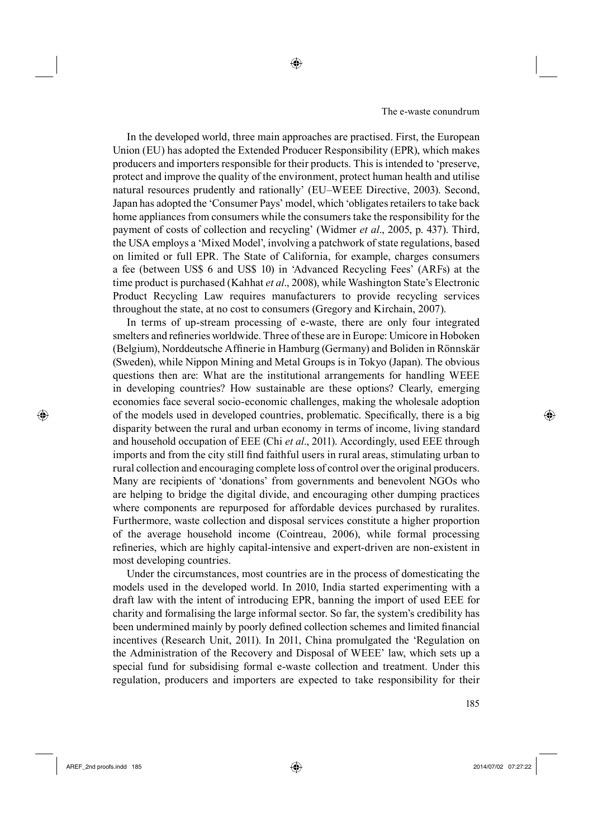In the developed world, three main approaches are practised. First, the European Union (EU) has adopted the Extended Producer Responsibility (EPR), which makes producers and importers responsible for their products. This is intended to 'preserve, protect and improve the quality of the environment, protect human health and utilise natural resources prudently and rationally' (EU–WEEE Directive, 2003). Second, Japan has adopted the 'Consumer Pays' model, which 'obligates retailers to take back home appliances from consumers while the consumers take the responsibility for the payment of costs of collection and recycling' (Widmer *et al*., 2005, p. 437). Third, the USA employs a 'Mixed Model', involving a patchwork of state regulations, based on limited or full EPR. The State of California, for example, charges consumers a fee (between US\$ 6 and US\$ 10) in 'Advanced Recycling Fees' (ARFs) at the time product is purchased (Kahhat *et al*., 2008), while Washington State's Electronic Product Recycling Law requires manufacturers to provide recycling services throughout the state, at no cost to consumers (Gregory and Kirchain, 2007).

◈

In terms of up-stream processing of e-waste, there are only four integrated smelters and refineries worldwide. Three of these are in Europe: Umicore in Hoboken (Belgium), Norddeutsche Affinerie in Hamburg (Germany) and Boliden in Rönnskär (Sweden), while Nippon Mining and Metal Groups is in Tokyo (Japan). The obvious questions then are: What are the institutional arrangements for handling WEEE in developing countries? How sustainable are these options? Clearly, emerging economies face several socio-economic challenges, making the wholesale adoption of the models used in developed countries, problematic. Specifically, there is a big disparity between the rural and urban economy in terms of income, living standard and household occupation of EEE (Chi *et al*., 2011). Accordingly, used EEE through imports and from the city still find faithful users in rural areas, stimulating urban to rural collection and encouraging complete loss of control over the original producers. Many are recipients of 'donations' from governments and benevolent NGOs who are helping to bridge the digital divide, and encouraging other dumping practices where components are repurposed for affordable devices purchased by ruralites. Furthermore, waste collection and disposal services constitute a higher proportion of the average household income (Cointreau, 2006), while formal processing refineries, which are highly capital-intensive and expert-driven are non-existent in most developing countries.

Under the circumstances, most countries are in the process of domesticating the models used in the developed world. In 2010, India started experimenting with a draft law with the intent of introducing EPR, banning the import of used EEE for charity and formalising the large informal sector. So far, the system's credibility has been undermined mainly by poorly defined collection schemes and limited financial incentives (Research Unit, 2011). In 2011, China promulgated the 'Regulation on the Administration of the Recovery and Disposal of WEEE' law, which sets up a special fund for subsidising formal e-waste collection and treatment. Under this regulation, producers and importers are expected to take responsibility for their

⊕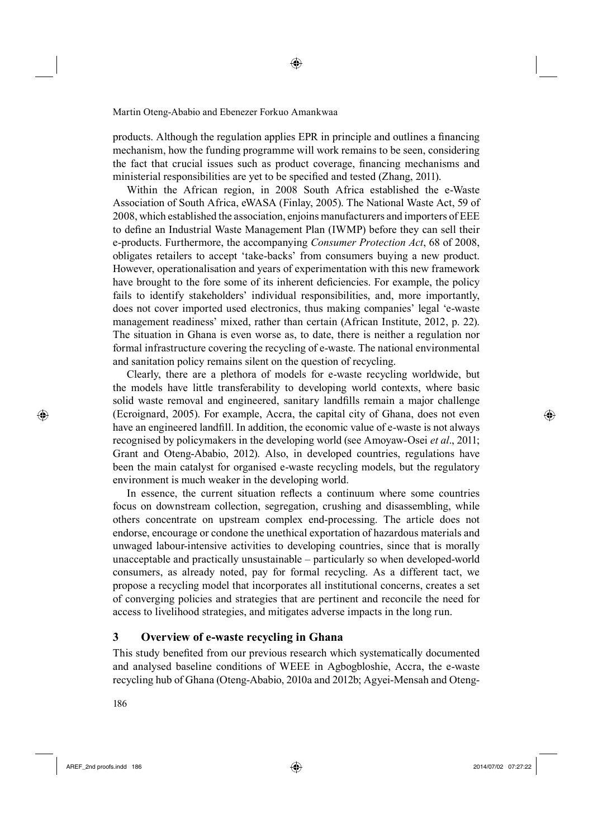products. Although the regulation applies EPR in principle and outlines a financing mechanism, how the funding programme will work remains to be seen, considering the fact that crucial issues such as product coverage, financing mechanisms and ministerial responsibilities are yet to be specified and tested (Zhang, 2011).

Within the African region, in 2008 South Africa established the e-Waste Association of South Africa, eWASA (Finlay, 2005). The National Waste Act, 59 of 2008, which established the association, enjoins manufacturers and importers of EEE to define an Industrial Waste Management Plan (IWMP) before they can sell their e-products. Furthermore, the accompanying *Consumer Protection Act*, 68 of 2008, obligates retailers to accept 'take-backs' from consumers buying a new product. However, operationalisation and years of experimentation with this new framework have brought to the fore some of its inherent deficiencies. For example, the policy fails to identify stakeholders' individual responsibilities, and, more importantly, does not cover imported used electronics, thus making companies' legal 'e-waste management readiness' mixed, rather than certain (African Institute, 2012, p. 22). The situation in Ghana is even worse as, to date, there is neither a regulation nor formal infrastructure covering the recycling of e-waste. The national environmental and sanitation policy remains silent on the question of recycling.

Clearly, there are a plethora of models for e-waste recycling worldwide, but the models have little transferability to developing world contexts, where basic solid waste removal and engineered, sanitary landfills remain a major challenge (Ecroignard, 2005). For example, Accra, the capital city of Ghana, does not even have an engineered landfill. In addition, the economic value of e-waste is not always recognised by policymakers in the developing world (see Amoyaw-Osei *et al*., 2011; Grant and Oteng-Ababio, 2012). Also, in developed countries, regulations have been the main catalyst for organised e-waste recycling models, but the regulatory environment is much weaker in the developing world.

In essence, the current situation reflects a continuum where some countries focus on downstream collection, segregation, crushing and disassembling, while others concentrate on upstream complex end-processing. The article does not endorse, encourage or condone the unethical exportation of hazardous materials and unwaged labour-intensive activities to developing countries, since that is morally unacceptable and practically unsustainable – particularly so when developed-world consumers, as already noted, pay for formal recycling. As a different tact, we propose a recycling model that incorporates all institutional concerns, creates a set of converging policies and strategies that are pertinent and reconcile the need for access to livelihood strategies, and mitigates adverse impacts in the long run.

# **3 Overview of e-waste recycling in Ghana**

This study benefited from our previous research which systematically documented and analysed baseline conditions of WEEE in Agbogbloshie, Accra, the e-waste recycling hub of Ghana (Oteng-Ababio, 2010a and 2012b; Agyei-Mensah and Oteng-

5186

⊕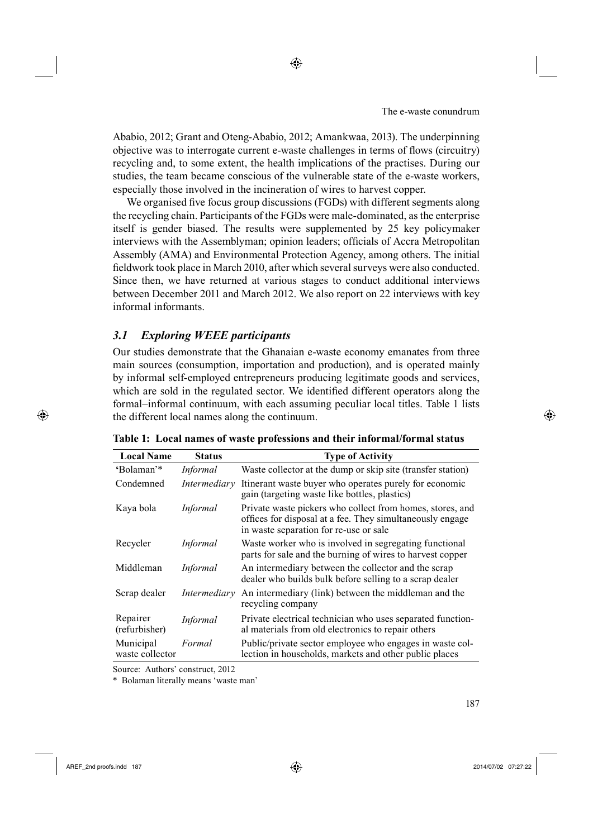Ababio, 2012; Grant and Oteng-Ababio, 2012; Amankwaa, 2013). The underpinning objective was to interrogate current e-waste challenges in terms of flows (circuitry) recycling and, to some extent, the health implications of the practises. During our studies, the team became conscious of the vulnerable state of the e-waste workers, especially those involved in the incineration of wires to harvest copper.

◈

We organised five focus group discussions (FGDs) with different segments along the recycling chain. Participants of the FGDs were male-dominated, as the enterprise itself is gender biased. The results were supplemented by 25 key policymaker interviews with the Assemblyman; opinion leaders; officials of Accra Metropolitan Assembly (AMA) and Environmental Protection Agency, among others. The initial fieldwork took place in March 2010, after which several surveys were also conducted. Since then, we have returned at various stages to conduct additional interviews between December 2011 and March 2012. We also report on 22 interviews with key informal informants.

# *3.1 Exploring WEEE participants*

Our studies demonstrate that the Ghanaian e-waste economy emanates from three main sources (consumption, importation and production), and is operated mainly by informal self-employed entrepreneurs producing legitimate goods and services, which are sold in the regulated sector. We identified different operators along the formal–informal continuum, with each assuming peculiar local titles. Table 1 lists the different local names along the continuum.

| <b>Local Name</b>            | <b>Status</b>   | <b>Type of Activity</b>                                                                                                                                          |
|------------------------------|-----------------|------------------------------------------------------------------------------------------------------------------------------------------------------------------|
| 'Bolaman'*                   | <i>Informal</i> | Waste collector at the dump or skip site (transfer station)                                                                                                      |
| Condemned                    | Intermediary    | Itinerant waste buyer who operates purely for economic<br>gain (targeting waste like bottles, plastics)                                                          |
| Kaya bola                    | Informal        | Private waste pickers who collect from homes, stores, and<br>offices for disposal at a fee. They simultaneously engage<br>in waste separation for re-use or sale |
| Recycler                     | Informal        | Waste worker who is involved in segregating functional<br>parts for sale and the burning of wires to harvest copper                                              |
| Middleman                    | <i>Informal</i> | An intermediary between the collector and the scrap<br>dealer who builds bulk before selling to a scrap dealer                                                   |
| Scrap dealer                 | Intermediary    | An intermediary (link) between the middleman and the<br>recycling company                                                                                        |
| Repairer<br>(refurbisher)    | Informal        | Private electrical technician who uses separated function-<br>al materials from old electronics to repair others                                                 |
| Municipal<br>waste collector | Formal          | Public/private sector employee who engages in waste col-<br>lection in households, markets and other public places                                               |

**Table 1: Local names of waste professions and their informal/formal status**

Source: Authors' construct, 2012

\* Bolaman literally means 'waste man'

**6 187 • 187 • 187 • 187 • 187 • 187 • 187 • 187 • 187 • 187 • 187 • 187 • 187 • 187 • 187 • 187 • 187 • 187 • 187 • 187 • 187 • 187 • 187 • 187 • 187 • 187 • 187 • 187 • 187 • 187 • 187 • 187 • 187 • 187 • 187 • 187 • 187** 

⊕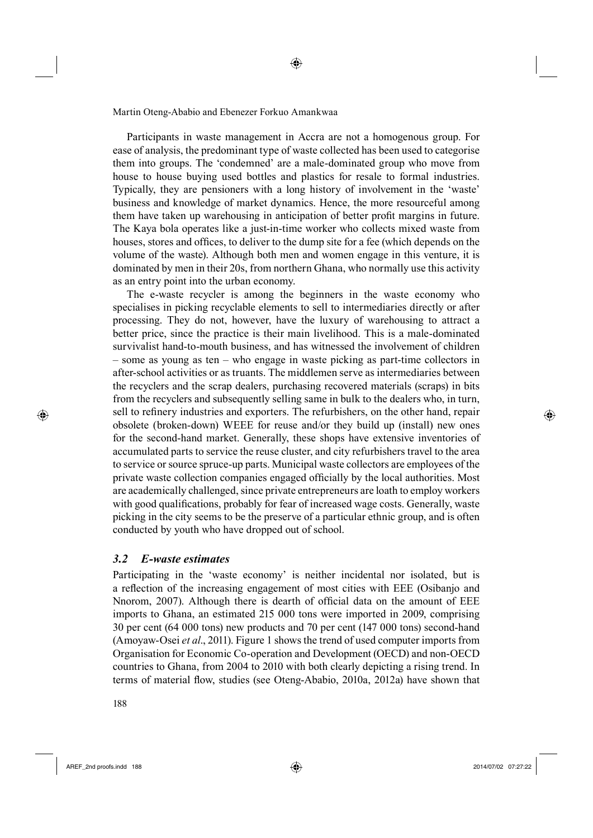Participants in waste management in Accra are not a homogenous group. For ease of analysis, the predominant type of waste collected has been used to categorise them into groups. The 'condemned' are a male-dominated group who move from house to house buying used bottles and plastics for resale to formal industries. Typically, they are pensioners with a long history of involvement in the 'waste' business and knowledge of market dynamics. Hence, the more resourceful among them have taken up warehousing in anticipation of better profit margins in future. The Kaya bola operates like a just-in-time worker who collects mixed waste from houses, stores and offices, to deliver to the dump site for a fee (which depends on the volume of the waste). Although both men and women engage in this venture, it is dominated by men in their 20s, from northern Ghana, who normally use this activity as an entry point into the urban economy.

◈

The e-waste recycler is among the beginners in the waste economy who specialises in picking recyclable elements to sell to intermediaries directly or after processing. They do not, however, have the luxury of warehousing to attract a better price, since the practice is their main livelihood. This is a male-dominated survivalist hand-to-mouth business, and has witnessed the involvement of children – some as young as ten – who engage in waste picking as part-time collectors in after-school activities or as truants. The middlemen serve as intermediaries between the recyclers and the scrap dealers, purchasing recovered materials (scraps) in bits from the recyclers and subsequently selling same in bulk to the dealers who, in turn, sell to refinery industries and exporters. The refurbishers, on the other hand, repair obsolete (broken-down) WEEE for reuse and/or they build up (install) new ones for the second-hand market. Generally, these shops have extensive inventories of accumulated parts to service the reuse cluster, and city refurbishers travel to the area to service or source spruce-up parts. Municipal waste collectors are employees of the private waste collection companies engaged officially by the local authorities. Most are academically challenged, since private entrepreneurs are loath to employ workers with good qualifications, probably for fear of increased wage costs. Generally, waste picking in the city seems to be the preserve of a particular ethnic group, and is often conducted by youth who have dropped out of school.

#### *3.2 E-waste estimates*

Participating in the 'waste economy' is neither incidental nor isolated, but is a reflection of the increasing engagement of most cities with EEE (Osibanjo and Nnorom, 2007). Although there is dearth of official data on the amount of EEE imports to Ghana, an estimated 215 000 tons were imported in 2009, comprising 30 per cent (64 000 tons) new products and 70 per cent (147 000 tons) second-hand (Amoyaw-Osei *et al*., 2011). Figure 1 shows the trend of used computer imports from Organisation for Economic Co-operation and Development (OECD) and non-OECD countries to Ghana, from 2004 to 2010 with both clearly depicting a rising trend. In terms of material flow, studies (see Oteng-Ababio, 2010a, 2012a) have shown that

AREF\_2nd proofs.indd 188 2014/07/02 07:27:22

⊕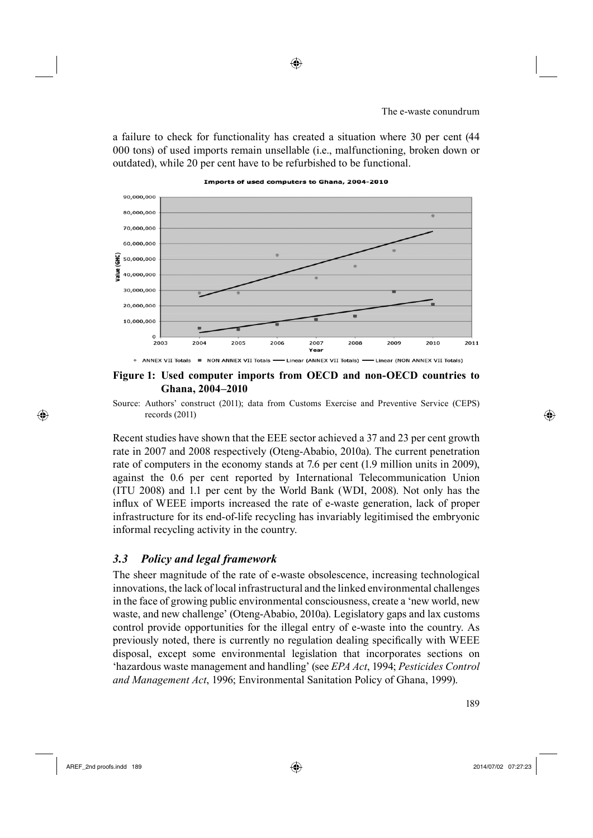a failure to check for functionality has created a situation where 30 per cent (44 000 tons) of used imports remain unsellable (i.e., malfunctioning, broken down or outdated), while 20 per cent have to be refurbished to be functional.

Imports of used computers to Ghana, 2004-2010



**Figure 1: Used computer imports from OECD and non-OECD countries to Ghana, 2004–2010**

Source: Authors' construct (2011); data from Customs Exercise and Preventive Service (CEPS) records (2011)

Recent studies have shown that the EEE sector achieved a 37 and 23 per cent growth rate in 2007 and 2008 respectively (Oteng-Ababio, 2010a). The current penetration rate of computers in the economy stands at 7.6 per cent (1.9 million units in 2009), against the 0.6 per cent reported by International Telecommunication Union (ITU 2008) and 1.1 per cent by the World Bank (WDI, 2008). Not only has the influx of WEEE imports increased the rate of e-waste generation, lack of proper infrastructure for its end-of-life recycling has invariably legitimised the embryonic informal recycling activity in the country.

### *3.3 Policy and legal framework*

The sheer magnitude of the rate of e-waste obsolescence, increasing technological innovations, the lack of local infrastructural and the linked environmental challenges in the face of growing public environmental consciousness, create a 'new world, new waste, and new challenge' (Oteng-Ababio, 2010a). Legislatory gaps and lax customs control provide opportunities for the illegal entry of e-waste into the country. As previously noted, there is currently no regulation dealing specifically with WEEE disposal, except some environmental legislation that incorporates sections on 'hazardous waste management and handling' (see *EPA Act*, 1994; *Pesticides Control and Management Act*, 1996; Environmental Sanitation Policy of Ghana, 1999).

⊕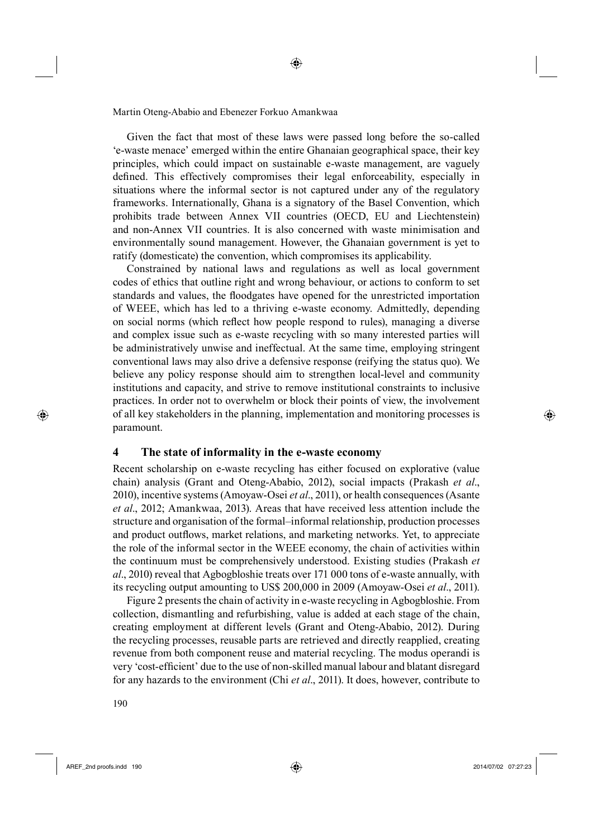Given the fact that most of these laws were passed long before the so-called 'e-waste menace' emerged within the entire Ghanaian geographical space, their key principles, which could impact on sustainable e-waste management, are vaguely defined. This effectively compromises their legal enforceability, especially in situations where the informal sector is not captured under any of the regulatory frameworks. Internationally, Ghana is a signatory of the Basel Convention, which prohibits trade between Annex VII countries (OECD, EU and Liechtenstein) and non-Annex VII countries. It is also concerned with waste minimisation and environmentally sound management. However, the Ghanaian government is yet to ratify (domesticate) the convention, which compromises its applicability.

◈

Constrained by national laws and regulations as well as local government codes of ethics that outline right and wrong behaviour, or actions to conform to set standards and values, the floodgates have opened for the unrestricted importation of WEEE, which has led to a thriving e-waste economy. Admittedly, depending on social norms (which reflect how people respond to rules), managing a diverse and complex issue such as e-waste recycling with so many interested parties will be administratively unwise and ineffectual. At the same time, employing stringent conventional laws may also drive a defensive response (reifying the status quo). We believe any policy response should aim to strengthen local-level and community institutions and capacity, and strive to remove institutional constraints to inclusive practices. In order not to overwhelm or block their points of view, the involvement of all key stakeholders in the planning, implementation and monitoring processes is paramount.

## **4 The state of informality in the e-waste economy**

Recent scholarship on e-waste recycling has either focused on explorative (value chain) analysis (Grant and Oteng-Ababio, 2012), social impacts (Prakash *et al*., 2010), incentive systems (Amoyaw-Osei *et al*., 2011), or health consequences (Asante *et al*., 2012; Amankwaa, 2013). Areas that have received less attention include the structure and organisation of the formal–informal relationship, production processes and product outflows, market relations, and marketing networks. Yet, to appreciate the role of the informal sector in the WEEE economy, the chain of activities within the continuum must be comprehensively understood. Existing studies (Prakash *et al*., 2010) reveal that Agbogbloshie treats over 171 000 tons of e-waste annually, with its recycling output amounting to US\$ 200,000 in 2009 (Amoyaw-Osei *et al*., 2011).

Figure 2 presents the chain of activity in e-waste recycling in Agbogbloshie. From collection, dismantling and refurbishing, value is added at each stage of the chain, creating employment at different levels (Grant and Oteng-Ababio, 2012). During the recycling processes, reusable parts are retrieved and directly reapplied, creating revenue from both component reuse and material recycling. The modus operandi is very 'cost-efficient' due to the use of non-skilled manual labour and blatant disregard for any hazards to the environment (Chi *et al*., 2011). It does, however, contribute to

5190

AREF\_2nd proofs.indd 190 2014/07/02 07:27:23

⊕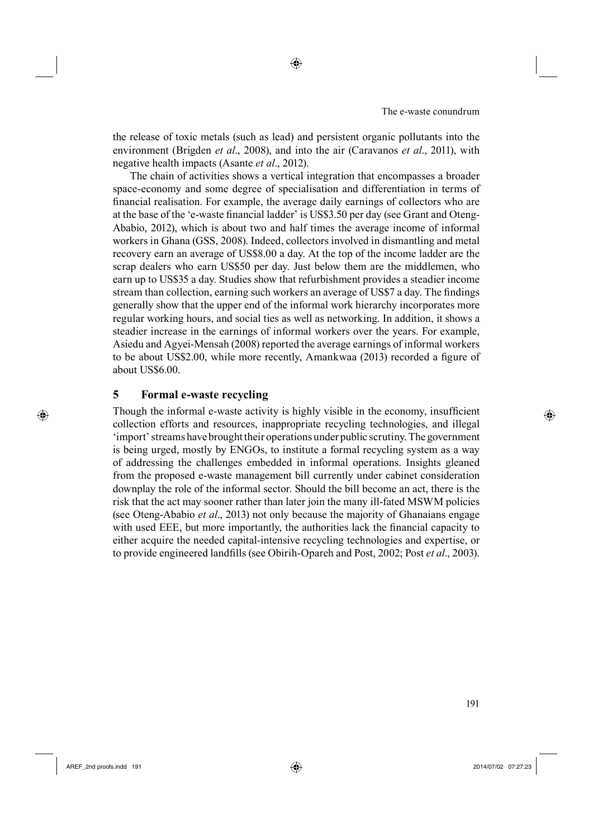the release of toxic metals (such as lead) and persistent organic pollutants into the environment (Brigden *et al*., 2008), and into the air (Caravanos *et al*., 2011), with negative health impacts (Asante *et al*., 2012).

The chain of activities shows a vertical integration that encompasses a broader space-economy and some degree of specialisation and differentiation in terms of financial realisation. For example, the average daily earnings of collectors who are at the base of the 'e-waste financial ladder' is US\$3.50 per day (see Grant and Oteng-Ababio, 2012), which is about two and half times the average income of informal workers in Ghana (GSS, 2008). Indeed, collectors involved in dismantling and metal recovery earn an average of US\$8.00 a day. At the top of the income ladder are the scrap dealers who earn US\$50 per day. Just below them are the middlemen, who earn up to US\$35 a day. Studies show that refurbishment provides a steadier income stream than collection, earning such workers an average of US\$7 a day. The findings generally show that the upper end of the informal work hierarchy incorporates more regular working hours, and social ties as well as networking. In addition, it shows a steadier increase in the earnings of informal workers over the years. For example, Asiedu and Agyei-Mensah (2008) reported the average earnings of informal workers to be about US\$2.00, while more recently, Amankwaa (2013) recorded a figure of about US\$6.00.

## **5 Formal e-waste recycling**

Though the informal e-waste activity is highly visible in the economy, insufficient collection efforts and resources, inappropriate recycling technologies, and illegal 'import' streams have brought their operations under public scrutiny. The government is being urged, mostly by ENGOs, to institute a formal recycling system as a way of addressing the challenges embedded in informal operations. Insights gleaned from the proposed e-waste management bill currently under cabinet consideration downplay the role of the informal sector. Should the bill become an act, there is the risk that the act may sooner rather than later join the many ill-fated MSWM policies (see Oteng-Ababio *et al*., 2013) not only because the majority of Ghanaians engage with used EEE, but more importantly, the authorities lack the financial capacity to either acquire the needed capital-intensive recycling technologies and expertise, or to provide engineered landfills (see Obirih-Opareh and Post, 2002; Post *et al.*, 2003).

<sup>6</sup> 191

⊕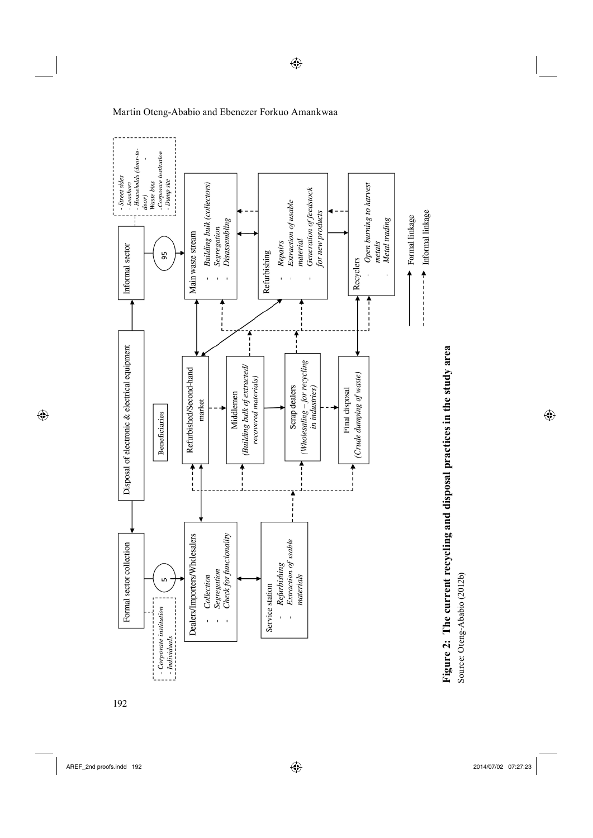$\bigoplus$ 



5192



Martin Oteng-Ababio and Ebenezer Forkuo Amankwaa



Source: Oteng-Ababio (2012b) Source: Oteng-Ababio (2012b)

 $\bigoplus$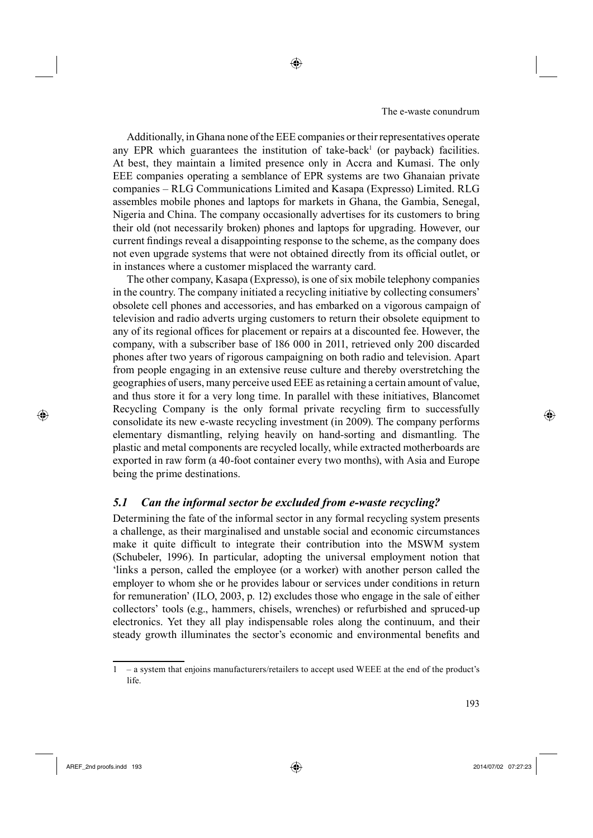Additionally, in Ghana none of the EEE companies or their representatives operate any EPR which guarantees the institution of take-back<sup>1</sup> (or payback) facilities. At best, they maintain a limited presence only in Accra and Kumasi. The only EEE companies operating a semblance of EPR systems are two Ghanaian private companies – RLG Communications Limited and Kasapa (Expresso) Limited. RLG assembles mobile phones and laptops for markets in Ghana, the Gambia, Senegal, Nigeria and China. The company occasionally advertises for its customers to bring their old (not necessarily broken) phones and laptops for upgrading. However, our current findings reveal a disappointing response to the scheme, as the company does not even upgrade systems that were not obtained directly from its official outlet, or in instances where a customer misplaced the warranty card.

◈

The other company, Kasapa (Expresso), is one of six mobile telephony companies in the country. The company initiated a recycling initiative by collecting consumers' obsolete cell phones and accessories, and has embarked on a vigorous campaign of television and radio adverts urging customers to return their obsolete equipment to any of its regional offices for placement or repairs at a discounted fee. However, the company, with a subscriber base of 186 000 in 2011, retrieved only 200 discarded phones after two years of rigorous campaigning on both radio and television. Apart from people engaging in an extensive reuse culture and thereby overstretching the geographies of users, many perceive used EEE as retaining a certain amount of value, and thus store it for a very long time. In parallel with these initiatives, Blancomet Recycling Company is the only formal private recycling firm to successfully consolidate its new e-waste recycling investment (in 2009). The company performs elementary dismantling, relying heavily on hand-sorting and dismantling. The plastic and metal components are recycled locally, while extracted motherboards are exported in raw form (a 40-foot container every two months), with Asia and Europe being the prime destinations.

## *5.1 Can the informal sector be excluded from e-waste recycling?*

Determining the fate of the informal sector in any formal recycling system presents a challenge, as their marginalised and unstable social and economic circumstances make it quite difficult to integrate their contribution into the MSWM system (Schubeler, 1996). In particular, adopting the universal employment notion that 'links a person, called the employee (or a worker) with another person called the employer to whom she or he provides labour or services under conditions in return for remuneration' (ILO, 2003, p. 12) excludes those who engage in the sale of either collectors' tools (e.g., hammers, chisels, wrenches) or refurbished and spruced-up electronics. Yet they all play indispensable roles along the continuum, and their steady growth illuminates the sector's economic and environmental benefits and

AREF\_2nd proofs.indd 193 2014/07/02 07:27:23

⊕

<sup>1 –</sup> a system that enjoins manufacturers/retailers to accept used WEEE at the end of the product's life.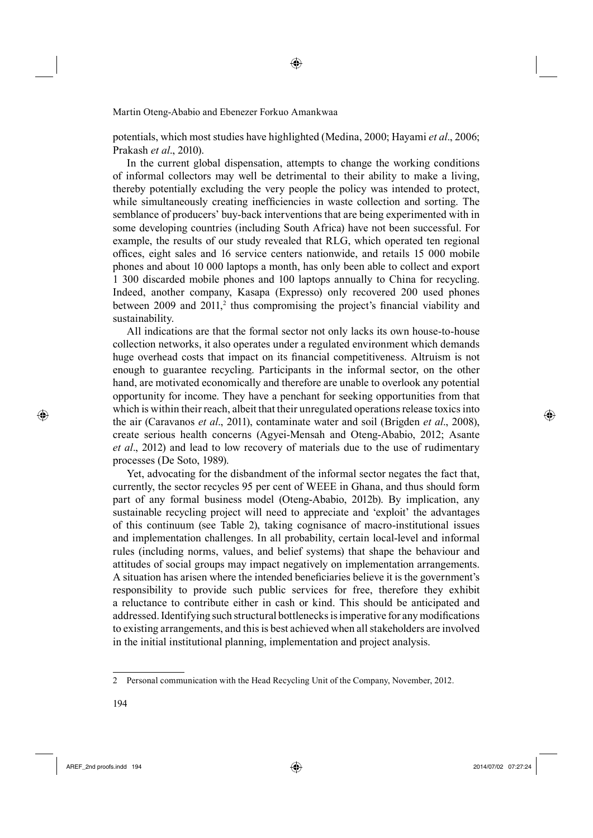potentials, which most studies have highlighted (Medina, 2000; Hayami *et al*., 2006; Prakash *et al*., 2010).

In the current global dispensation, attempts to change the working conditions of informal collectors may well be detrimental to their ability to make a living, thereby potentially excluding the very people the policy was intended to protect, while simultaneously creating inefficiencies in waste collection and sorting. The semblance of producers' buy-back interventions that are being experimented with in some developing countries (including South Africa) have not been successful. For example, the results of our study revealed that RLG, which operated ten regional offices, eight sales and 16 service centers nationwide, and retails 15 000 mobile phones and about 10 000 laptops a month, has only been able to collect and export 1 300 discarded mobile phones and 100 laptops annually to China for recycling. Indeed, another company, Kasapa (Expresso) only recovered 200 used phones between  $2009$  and  $2011$ ,<sup>2</sup> thus compromising the project's financial viability and sustainability.

All indications are that the formal sector not only lacks its own house-to-house collection networks, it also operates under a regulated environment which demands huge overhead costs that impact on its financial competitiveness. Altruism is not enough to guarantee recycling. Participants in the informal sector, on the other hand, are motivated economically and therefore are unable to overlook any potential opportunity for income. They have a penchant for seeking opportunities from that which is within their reach, albeit that their unregulated operations release toxics into the air (Caravanos *et al*., 2011), contaminate water and soil (Brigden *et al*., 2008), create serious health concerns (Agyei-Mensah and Oteng-Ababio, 2012; Asante *et al*., 2012) and lead to low recovery of materials due to the use of rudimentary processes (De Soto, 1989).

Yet, advocating for the disbandment of the informal sector negates the fact that, currently, the sector recycles 95 per cent of WEEE in Ghana, and thus should form part of any formal business model (Oteng-Ababio, 2012b). By implication, any sustainable recycling project will need to appreciate and 'exploit' the advantages of this continuum (see Table 2), taking cognisance of macro-institutional issues and implementation challenges. In all probability, certain local-level and informal rules (including norms, values, and belief systems) that shape the behaviour and attitudes of social groups may impact negatively on implementation arrangements. A situation has arisen where the intended beneficiaries believe it is the government's responsibility to provide such public services for free, therefore they exhibit a reluctance to contribute either in cash or kind. This should be anticipated and addressed. Identifying such structural bottlenecks is imperative for any modifications to existing arrangements, and this is best achieved when all stakeholders are involved in the initial institutional planning, implementation and project analysis.

AREF\_2nd proofs.indd 194 2014/07/02 07:27:24

⊕

<sup>2</sup> Personal communication with the Head Recycling Unit of the Company, November, 2012.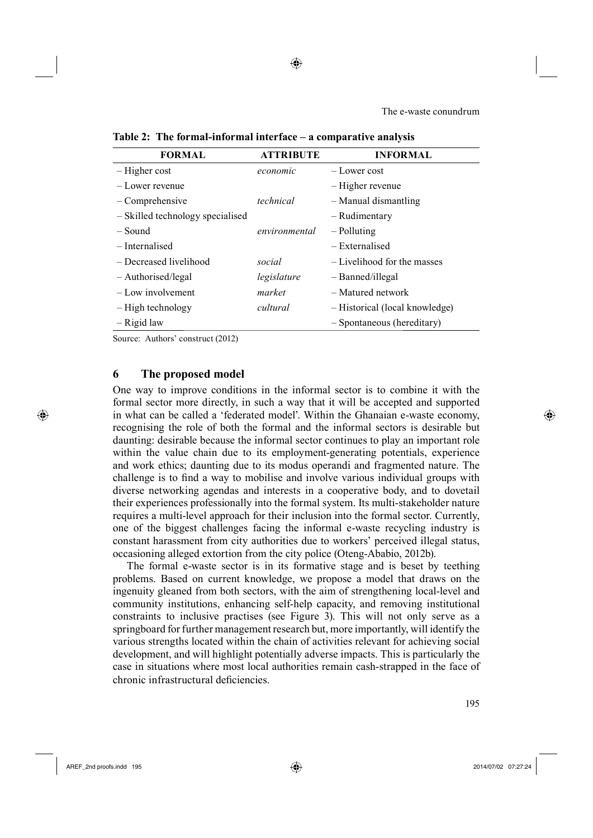◈

The e-waste conundrum

| <b>FORMAL</b>                    | <b>ATTRIBUTE</b> | <b>INFORMAL</b>                |
|----------------------------------|------------------|--------------------------------|
| $-$ Higher cost                  | economic         | – Lower cost                   |
| - Lower revenue                  |                  | – Higher revenue               |
| $-$ Comprehensive                | technical        | - Manual dismantling           |
| - Skilled technology specialised |                  | - Rudimentary                  |
| – Sound                          | environmental    | – Polluting                    |
| – Internalised                   |                  | – Externalised                 |
| - Decreased livelihood           | social           | - Livelihood for the masses    |
| - Authorised/legal               | legislature      | - Banned/illegal               |
| - Low involvement                | market           | - Matured network              |
| - High technology                | cultural         | - Historical (local knowledge) |
| $-$ Rigid law                    |                  | - Spontaneous (hereditary)     |
|                                  |                  |                                |

**Table 2: The formal-informal interface – a comparative analysis**

Source: Authors' construct (2012)

## **6 The proposed model**

One way to improve conditions in the informal sector is to combine it with the formal sector more directly, in such a way that it will be accepted and supported in what can be called a 'federated model'. Within the Ghanaian e-waste economy, recognising the role of both the formal and the informal sectors is desirable but daunting: desirable because the informal sector continues to play an important role within the value chain due to its employment-generating potentials, experience and work ethics; daunting due to its modus operandi and fragmented nature. The challenge is to find a way to mobilise and involve various individual groups with diverse networking agendas and interests in a cooperative body, and to dovetail their experiences professionally into the formal system. Its multi-stakeholder nature requires a multi-level approach for their inclusion into the formal sector. Currently, one of the biggest challenges facing the informal e-waste recycling industry is constant harassment from city authorities due to workers' perceived illegal status, occasioning alleged extortion from the city police (Oteng-Ababio, 2012b).

The formal e-waste sector is in its formative stage and is beset by teething problems. Based on current knowledge, we propose a model that draws on the ingenuity gleaned from both sectors, with the aim of strengthening local-level and community institutions, enhancing self-help capacity, and removing institutional constraints to inclusive practises (see Figure 3). This will not only serve as a springboard for further management research but, more importantly, will identify the various strengths located within the chain of activities relevant for achieving social development, and will highlight potentially adverse impacts. This is particularly the case in situations where most local authorities remain cash-strapped in the face of chronic infrastructural deficiencies.

AREF\_2nd proofs.indd 195 2014/07/02 07:27:24

⊕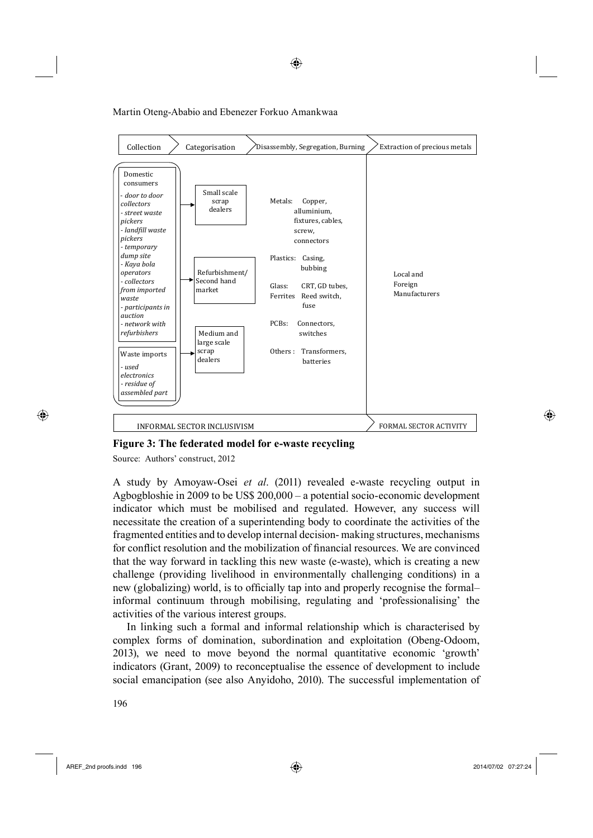

◈

**Figure 3: The federated model for e-waste recycling**

Source: Authors' construct, 2012

A study by Amoyaw-Osei *et al*. (2011) revealed e-waste recycling output in Agbogbloshie in 2009 to be US\$ 200,000 – a potential socio-economic development indicator which must be mobilised and regulated. However, any success will necessitate the creation of a superintending body to coordinate the activities of the fragmented entities and to develop internal decision- making structures, mechanisms for conflict resolution and the mobilization of financial resources. We are convinced that the way forward in tackling this new waste (e-waste), which is creating a new challenge (providing livelihood in environmentally challenging conditions) in a new (globalizing) world, is to officially tap into and properly recognise the formal– informal continuum through mobilising, regulating and 'professionalising' the activities of the various interest groups.

In linking such a formal and informal relationship which is characterised by complex forms of domination, subordination and exploitation (Obeng-Odoom, 2013), we need to move beyond the normal quantitative economic 'growth' indicators (Grant, 2009) to reconceptualise the essence of development to include social emancipation (see also Anyidoho, 2010). The successful implementation of

5196

AREF\_2nd proofs.indd 196 2014/07/02 07:27:24

⊕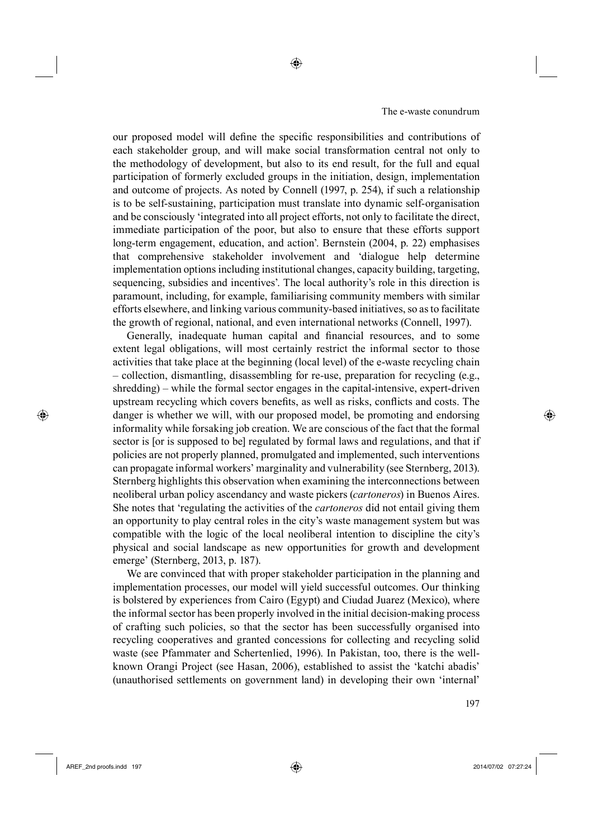our proposed model will define the specific responsibilities and contributions of each stakeholder group, and will make social transformation central not only to the methodology of development, but also to its end result, for the full and equal participation of formerly excluded groups in the initiation, design, implementation and outcome of projects. As noted by Connell (1997, p. 254), if such a relationship is to be self-sustaining, participation must translate into dynamic self-organisation and be consciously 'integrated into all project efforts, not only to facilitate the direct, immediate participation of the poor, but also to ensure that these efforts support long-term engagement, education, and action'. Bernstein (2004, p. 22) emphasises that comprehensive stakeholder involvement and 'dialogue help determine implementation options including institutional changes, capacity building, targeting, sequencing, subsidies and incentives'. The local authority's role in this direction is paramount, including, for example, familiarising community members with similar efforts elsewhere, and linking various community-based initiatives, so as to facilitate the growth of regional, national, and even international networks (Connell, 1997).

◈

Generally, inadequate human capital and financial resources, and to some extent legal obligations, will most certainly restrict the informal sector to those activities that take place at the beginning (local level) of the e-waste recycling chain – collection, dismantling, disassembling for re-use, preparation for recycling (e.g., shredding) – while the formal sector engages in the capital-intensive, expert-driven upstream recycling which covers benefits, as well as risks, conflicts and costs. The danger is whether we will, with our proposed model, be promoting and endorsing informality while forsaking job creation. We are conscious of the fact that the formal sector is [or is supposed to be] regulated by formal laws and regulations, and that if policies are not properly planned, promulgated and implemented, such interventions can propagate informal workers' marginality and vulnerability (see Sternberg, 2013). Sternberg highlights this observation when examining the interconnections between neoliberal urban policy ascendancy and waste pickers (*cartoneros*) in Buenos Aires. She notes that 'regulating the activities of the *cartoneros* did not entail giving them an opportunity to play central roles in the city's waste management system but was compatible with the logic of the local neoliberal intention to discipline the city's physical and social landscape as new opportunities for growth and development emerge' (Sternberg, 2013, p. 187).

We are convinced that with proper stakeholder participation in the planning and implementation processes, our model will yield successful outcomes. Our thinking is bolstered by experiences from Cairo (Egypt) and Ciudad Juarez (Mexico), where the informal sector has been properly involved in the initial decision-making process of crafting such policies, so that the sector has been successfully organised into recycling cooperatives and granted concessions for collecting and recycling solid waste (see Pfammater and Schertenlied, 1996). In Pakistan, too, there is the wellknown Orangi Project (see Hasan, 2006), established to assist the 'katchi abadis' (unauthorised settlements on government land) in developing their own 'internal'

AREF\_2nd proofs.indd 197 2014/07/02 07:27:24

⊕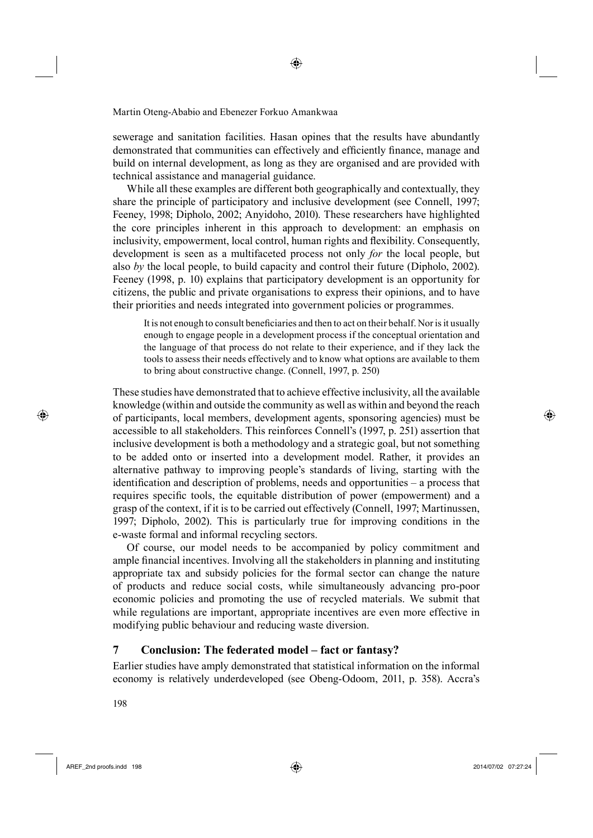sewerage and sanitation facilities. Hasan opines that the results have abundantly demonstrated that communities can effectively and efficiently finance, manage and build on internal development, as long as they are organised and are provided with technical assistance and managerial guidance.

While all these examples are different both geographically and contextually, they share the principle of participatory and inclusive development (see Connell, 1997; Feeney, 1998; Dipholo, 2002; Anyidoho, 2010). These researchers have highlighted the core principles inherent in this approach to development: an emphasis on inclusivity, empowerment, local control, human rights and flexibility. Consequently, development is seen as a multifaceted process not only *for* the local people, but also *by* the local people, to build capacity and control their future (Dipholo, 2002). Feeney (1998, p. 10) explains that participatory development is an opportunity for citizens, the public and private organisations to express their opinions, and to have their priorities and needs integrated into government policies or programmes.

It is not enough to consult beneficiaries and then to act on their behalf. Nor is it usually enough to engage people in a development process if the conceptual orientation and the language of that process do not relate to their experience, and if they lack the tools to assess their needs effectively and to know what options are available to them to bring about constructive change. (Connell, 1997, p. 250)

These studies have demonstrated that to achieve effective inclusivity, all the available knowledge (within and outside the community as well as within and beyond the reach of participants, local members, development agents, sponsoring agencies) must be accessible to all stakeholders. This reinforces Connell's (1997, p. 251) assertion that inclusive development is both a methodology and a strategic goal, but not something to be added onto or inserted into a development model. Rather, it provides an alternative pathway to improving people's standards of living, starting with the identification and description of problems, needs and opportunities  $-$  a process that requires specific tools, the equitable distribution of power (empowerment) and a grasp of the context, if it is to be carried out effectively (Connell, 1997; Martinussen, 1997; Dipholo, 2002). This is particularly true for improving conditions in the e-waste formal and informal recycling sectors.

Of course, our model needs to be accompanied by policy commitment and ample financial incentives. Involving all the stakeholders in planning and instituting appropriate tax and subsidy policies for the formal sector can change the nature of products and reduce social costs, while simultaneously advancing pro-poor economic policies and promoting the use of recycled materials. We submit that while regulations are important, appropriate incentives are even more effective in modifying public behaviour and reducing waste diversion.

# **7 Conclusion: The federated model – fact or fantasy?**

Earlier studies have amply demonstrated that statistical information on the informal economy is relatively underdeveloped (see Obeng-Odoom, 2011, p. 358). Accra's

5198

⊕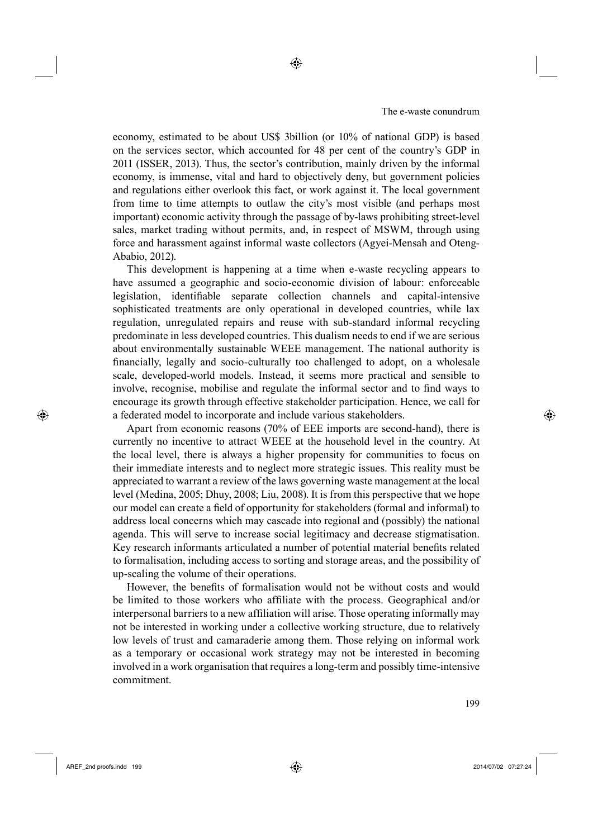economy, estimated to be about US\$ 3billion (or 10% of national GDP) is based on the services sector, which accounted for 48 per cent of the country's GDP in 2011 (ISSER, 2013). Thus, the sector's contribution, mainly driven by the informal economy, is immense, vital and hard to objectively deny, but government policies and regulations either overlook this fact, or work against it. The local government from time to time attempts to outlaw the city's most visible (and perhaps most important) economic activity through the passage of by-laws prohibiting street-level sales, market trading without permits, and, in respect of MSWM, through using force and harassment against informal waste collectors (Agyei-Mensah and Oteng-Ababio, 2012).

This development is happening at a time when e-waste recycling appears to have assumed a geographic and socio-economic division of labour: enforceable legislation, identifiable separate collection channels and capital-intensive sophisticated treatments are only operational in developed countries, while lax regulation, unregulated repairs and reuse with sub-standard informal recycling predominate in less developed countries. This dualism needs to end if we are serious about environmentally sustainable WEEE management. The national authority is financially, legally and socio-culturally too challenged to adopt, on a wholesale scale, developed-world models. Instead, it seems more practical and sensible to involve, recognise, mobilise and regulate the informal sector and to find ways to encourage its growth through effective stakeholder participation. Hence, we call for a federated model to incorporate and include various stakeholders.

Apart from economic reasons (70% of EEE imports are second-hand), there is currently no incentive to attract WEEE at the household level in the country. At the local level, there is always a higher propensity for communities to focus on their immediate interests and to neglect more strategic issues. This reality must be appreciated to warrant a review of the laws governing waste management at the local level (Medina, 2005; Dhuy, 2008; Liu, 2008). It is from this perspective that we hope our model can create a field of opportunity for stakeholders (formal and informal) to address local concerns which may cascade into regional and (possibly) the national agenda. This will serve to increase social legitimacy and decrease stigmatisation. Key research informants articulated a number of potential material benefits related to formalisation, including access to sorting and storage areas, and the possibility of up-scaling the volume of their operations.

However, the benefits of formalisation would not be without costs and would be limited to those workers who affiliate with the process. Geographical and/or interpersonal barriers to a new affiliation will arise. Those operating informally may not be interested in working under a collective working structure, due to relatively low levels of trust and camaraderie among them. Those relying on informal work as a temporary or occasional work strategy may not be interested in becoming involved in a work organisation that requires a long-term and possibly time-intensive commitment.

**6 1999 • 1999 • 1999 • 1999 • 1999 • 1999 • 1999 • 1999 • 1999 • 1999 • 1999 • 1999 • 1999 • 1999 • 1999 • 19** 

⊕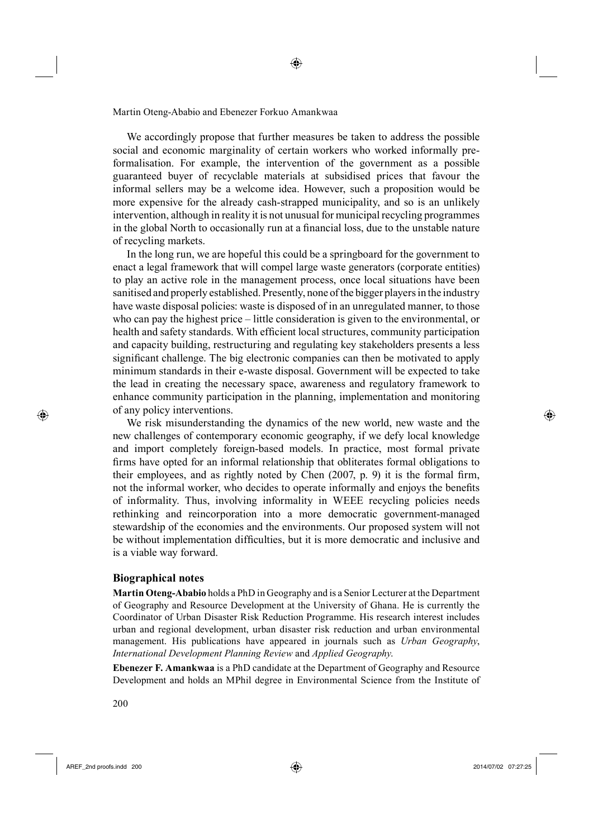We accordingly propose that further measures be taken to address the possible social and economic marginality of certain workers who worked informally preformalisation. For example, the intervention of the government as a possible guaranteed buyer of recyclable materials at subsidised prices that favour the informal sellers may be a welcome idea. However, such a proposition would be more expensive for the already cash-strapped municipality, and so is an unlikely intervention, although in reality it is not unusual for municipal recycling programmes in the global North to occasionally run at a financial loss, due to the unstable nature of recycling markets.

◈

In the long run, we are hopeful this could be a springboard for the government to enact a legal framework that will compel large waste generators (corporate entities) to play an active role in the management process, once local situations have been sanitised and properly established. Presently, none of the bigger players in the industry have waste disposal policies: waste is disposed of in an unregulated manner, to those who can pay the highest price – little consideration is given to the environmental, or health and safety standards. With efficient local structures, community participation and capacity building, restructuring and regulating key stakeholders presents a less significant challenge. The big electronic companies can then be motivated to apply minimum standards in their e-waste disposal. Government will be expected to take the lead in creating the necessary space, awareness and regulatory framework to enhance community participation in the planning, implementation and monitoring of any policy interventions.

We risk misunderstanding the dynamics of the new world, new waste and the new challenges of contemporary economic geography, if we defy local knowledge and import completely foreign-based models. In practice, most formal private firms have opted for an informal relationship that obliterates formal obligations to their employees, and as rightly noted by Chen  $(2007, p. 9)$  it is the formal firm, not the informal worker, who decides to operate informally and enjoys the benefits of informality. Thus, involving informality in WEEE recycling policies needs rethinking and reincorporation into a more democratic government-managed stewardship of the economies and the environments. Our proposed system will not be without implementation difficulties, but it is more democratic and inclusive and is a viable way forward.

#### **Biographical notes**

**Martin Oteng-Ababio** holds a PhD in Geography and is a Senior Lecturer at the Department of Geography and Resource Development at the University of Ghana. He is currently the Coordinator of Urban Disaster Risk Reduction Programme. His research interest includes urban and regional development, urban disaster risk reduction and urban environmental management. His publications have appeared in journals such as *Urban Geography*, *International Development Planning Review* and *Applied Geography*.

**Ebenezer F. Amankwaa** is a PhD candidate at the Department of Geography and Resource Development and holds an MPhil degree in Environmental Science from the Institute of

AREF\_2nd proofs.indd 200 2014/07/02 07:27:25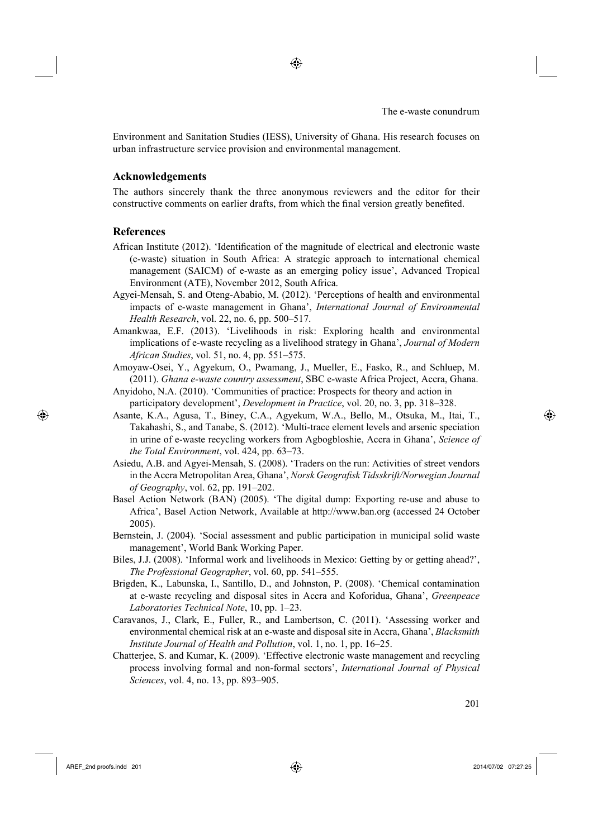Environment and Sanitation Studies (IESS), University of Ghana. His research focuses on urban infrastructure service provision and environmental management.

◈

#### **Acknowledgements**

The authors sincerely thank the three anonymous reviewers and the editor for their constructive comments on earlier drafts, from which the final version greatly benefited.

#### **References**

⊕

- African Institute (2012). 'Identification of the magnitude of electrical and electronic waste (e-waste) situation in South Africa: A strategic approach to international chemical management (SAICM) of e-waste as an emerging policy issue', Advanced Tropical Environment (ATE), November 2012, South Africa.
- Agyei-Mensah, S. and Oteng-Ababio, M. (2012). 'Perceptions of health and environmental impacts of e-waste management in Ghana', *International Journal of Environmental Health Research*, vol. 22, no. 6, pp. 500–517.
- Amankwaa, E.F. (2013). 'Livelihoods in risk: Exploring health and environmental implications of e-waste recycling as a livelihood strategy in Ghana', *Journal of Modern African Studies*, vol. 51, no. 4, pp. 551–575.
- Amoyaw-Osei, Y., Agyekum, O., Pwamang, J., Mueller, E., Fasko, R., and Schluep, M. (2011). *Ghana e-waste country assessment*, SBC e-waste Africa Project, Accra, Ghana. Anyidoho, N.A. (2010). 'Communities of practice: Prospects for theory and action in
- participatory development', *Development in Practice*, vol. 20, no. 3, pp. 318–328.
- Asante, K.A., Agusa, T., Biney, C.A., Agyekum, W.A., Bello, M., Otsuka, M., Itai, T., Takahashi, S., and Tanabe, S. (2012). 'Multi-trace element levels and arsenic speciation in urine of e-waste recycling workers from Agbogbloshie, Accra in Ghana', *Science of the Total Environment*, vol. 424, pp. 63–73.
- Asiedu, A.B. and Agyei-Mensah, S. (2008). 'Traders on the run: Activities of street vendors in the Accra Metropolitan Area, Ghana', *Norsk Geografisk Tidsskrift/Norwegian Journal of Geography*, vol. 62, pp. 191–202.
- Basel Action Network (BAN) (2005). 'The digital dump: Exporting re-use and abuse to Africa', Basel Action Network, Available at http://www.ban.org (accessed 24 October 2005).
- Bernstein, J. (2004). 'Social assessment and public participation in municipal solid waste management', World Bank Working Paper.
- Biles, J.J. (2008). 'Informal work and livelihoods in Mexico: Getting by or getting ahead?', *The Professional Geographer*, vol. 60, pp. 541–555.
- Brigden, K., Labunska, I., Santillo, D., and Johnston, P. (2008). 'Chemical contamination at e-waste recycling and disposal sites in Accra and Koforidua, Ghana', *Greenpeace Laboratories Technical Note*, 10, pp. 1–23.
- Caravanos, J., Clark, E., Fuller, R., and Lambertson, C. (2011). 'Assessing worker and environmental chemical risk at an e-waste and disposal site in Accra, Ghana', *Blacksmith Institute Journal of Health and Pollution*, vol. 1, no. 1, pp. 16–25.
- Chatterjee, S. and Kumar, K. (2009). 'Effective electronic waste management and recycling process involving formal and non-formal sectors', *International Journal of Physical Sciences*, vol. 4, no. 13, pp. 893–905.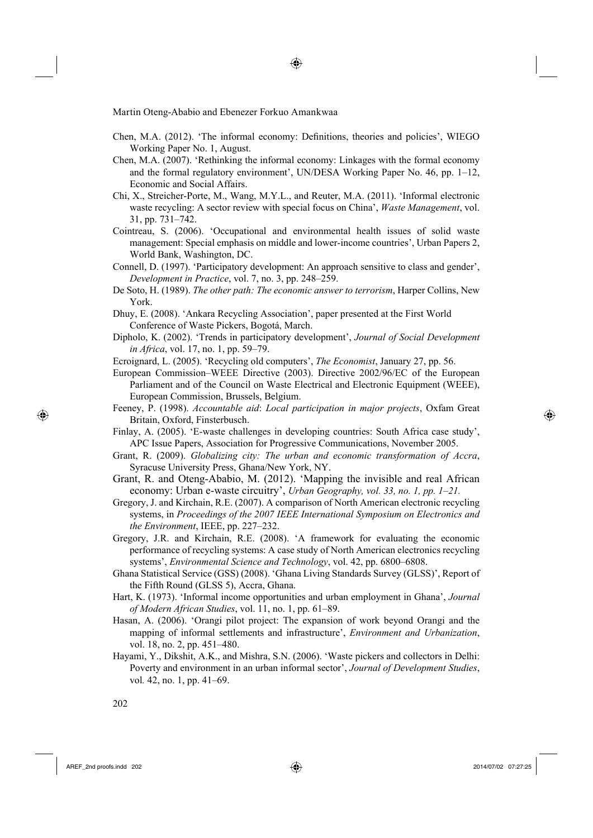Chen, M.A. (2012). 'The informal economy: Definitions, theories and policies', WIEGO Working Paper No. 1, August.

◈

- Chen, M.A. (2007). 'Rethinking the informal economy: Linkages with the formal economy and the formal regulatory environment', UN/DESA Working Paper No. 46, pp. 1–12, Economic and Social Affairs.
- Chi, X., Streicher-Porte, M., Wang, M.Y.L., and Reuter, M.A. (2011). 'Informal electronic waste recycling: A sector review with special focus on China', *Waste Management*, vol. 31, pp. 731–742.
- Cointreau, S. (2006). 'Occupational and environmental health issues of solid waste management: Special emphasis on middle and lower-income countries', Urban Papers 2, World Bank, Washington, DC.
- Connell, D. (1997). 'Participatory development: An approach sensitive to class and gender', *Development in Practice*, vol. 7, no. 3, pp. 248–259.
- De Soto, H. (1989). *The other path: The economic answer to terrorism*, Harper Collins, New York.
- Dhuy, E. (2008). 'Ankara Recycling Association', paper presented at the First World Conference of Waste Pickers, Bogotá, March.
- Dipholo, K. (2002). 'Trends in participatory development', *Journal of Social Development in Africa*, vol. 17, no. 1, pp. 59–79.
- Ecroignard, L. (2005). 'Recycling old computers', *The Economist*, January 27, pp. 56.
- European Commission–WEEE Directive (2003). Directive 2002/96/EC of the European Parliament and of the Council on Waste Electrical and Electronic Equipment (WEEE), European Commission, Brussels, Belgium.
- Feeney, P. (1998). *Accountable aid*: *Local participation in major projects*, Oxfam Great Britain, Oxford, Finsterbusch.
- Finlay, A. (2005). 'E-waste challenges in developing countries: South Africa case study', APC Issue Papers, Association for Progressive Communications, November 2005.
- Grant, R. (2009). *Globalizing city: The urban and economic transformation of Accra*, Syracuse University Press, Ghana/New York, NY.
- Grant, R. and Oteng-Ababio, M. (2012). 'Mapping the invisible and real African economy: Urban e-waste circuitry', *Urban Geography, vol. 33, no. 1, pp. 1–21.*
- Gregory, J. and Kirchain, R.E. (2007). A comparison of North American electronic recycling systems, in *Proceedings of the 2007 IEEE International Symposium on Electronics and the Environment*, IEEE, pp. 227–232.
- Gregory, J.R. and Kirchain, R.E. (2008). 'A framework for evaluating the economic performance of recycling systems: A case study of North American electronics recycling systems', *Environmental Science and Technology*, vol. 42, pp. 6800–6808.
- Ghana Statistical Service (GSS) (2008). 'Ghana Living Standards Survey (GLSS)', Report of the Fifth Round (GLSS 5), Accra, Ghana.
- Hart, K. (1973). 'Informal income opportunities and urban employment in Ghana', *Journal of Modern African Studies*, vol. 11, no. 1, pp. 61–89.
- Hasan, A. (2006). 'Orangi pilot project: The expansion of work beyond Orangi and the mapping of informal settlements and infrastructure', *Environment and Urbanization*, vol. 18, no. 2, pp. 451–480.
- Hayami, Y., Dikshit, A.K., and Mishra, S.N. (2006). 'Waste pickers and collectors in Delhi: Poverty and environment in an urban informal sector', *Journal of Development Studies*, vol*.* 42, no. 1, pp. 41–69.

AREF\_2nd proofs.indd 202 2014/07/02 07:27:25

⊕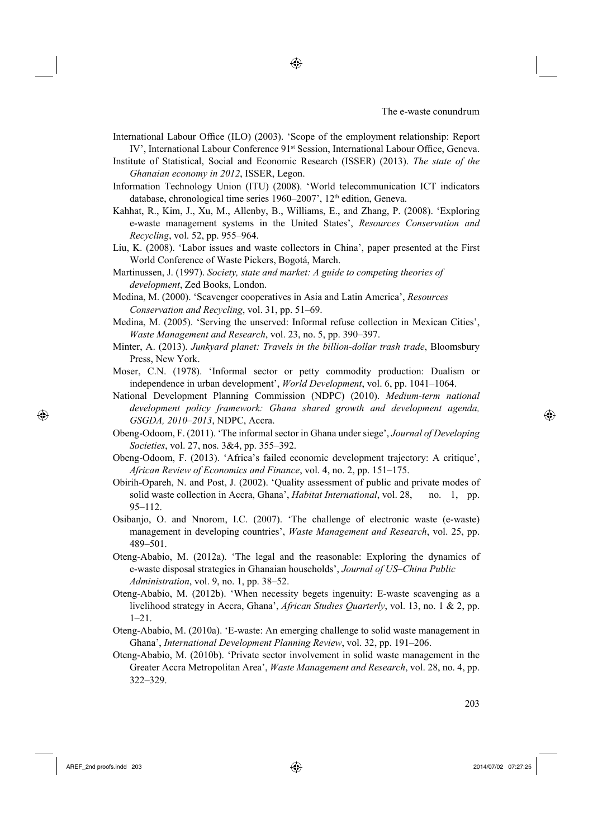International Labour Office (ILO) (2003). 'Scope of the employment relationship: Report IV', International Labour Conference 91<sup>st</sup> Session, International Labour Office, Geneva.

◈

Institute of Statistical, Social and Economic Research (ISSER) (2013). *The state of the Ghanaian economy in 2012*, ISSER, Legon.

- Information Technology Union (ITU) (2008). 'World telecommunication ICT indicators database, chronological time series 1960–2007', 12<sup>th</sup> edition, Geneva.
- Kahhat, R., Kim, J., Xu, M., Allenby, B., Williams, E., and Zhang, P. (2008). 'Exploring e-waste management systems in the United States', *Resources Conservation and Recycling*, vol. 52, pp. 955–964.
- Liu, K. (2008). 'Labor issues and waste collectors in China', paper presented at the First World Conference of Waste Pickers, Bogotá, March.
- Martinussen, J. (1997). *Society, state and market: A guide to competing theories of development*, Zed Books, London.
- Medina, M. (2000). 'Scavenger cooperatives in Asia and Latin America', *Resources Conservation and Recycling*, vol. 31, pp. 51–69.
- Medina, M. (2005). 'Serving the unserved: Informal refuse collection in Mexican Cities', *Waste Management and Research*, vol. 23, no. 5, pp. 390–397.
- Minter, A. (2013). *Junkyard planet: Travels in the billion-dollar trash trade*, Bloomsbury Press, New York.
- Moser, C.N. (1978). 'Informal sector or petty commodity production: Dualism or independence in urban development', *World Development*, vol. 6, pp. 1041–1064.
- National Development Planning Commission (NDPC) (2010). *Medium-term national development policy framework: Ghana shared growth and development agenda, GSGDA, 2010–2013*, NDPC, Accra.
- Obeng-Odoom, F. (2011). 'The informal sector in Ghana under siege', *Journal of Developing Societies*, vol. 27, nos. 3&4, pp. 355–392.
- Obeng-Odoom, F. (2013). 'Africa's failed economic development trajectory: A critique', *African Review of Economics and Finance*, vol. 4, no. 2, pp. 151–175.
- Obirih-Opareh, N. and Post, J. (2002). 'Quality assessment of public and private modes of solid waste collection in Accra, Ghana', *Habitat International*, vol. 28, no. 1, pp. 95–112.
- Osibanjo, O. and Nnorom, I.C. (2007). 'The challenge of electronic waste (e-waste) management in developing countries', *Waste Management and Research*, vol. 25, pp. 489–501.
- Oteng-Ababio, M. (2012a). 'The legal and the reasonable: Exploring the dynamics of e-waste disposal strategies in Ghanaian households', *Journal of US–China Public Administration*, vol. 9, no. 1, pp. 38–52.
- Oteng-Ababio, M. (2012b). 'When necessity begets ingenuity: E-waste scavenging as a livelihood strategy in Accra, Ghana', *African Studies Quarterly*, vol. 13, no. 1 & 2, pp. 1–21.
- Oteng-Ababio, M. (2010a). 'E-waste: An emerging challenge to solid waste management in Ghana', *International Development Planning Review*, vol. 32, pp. 191–206.
- Oteng-Ababio, M. (2010b). 'Private sector involvement in solid waste management in the Greater Accra Metropolitan Area', *Waste Management and Research*, vol. 28, no. 4, pp. 322–329.

AREF\_2nd proofs.indd 203 2014/07/02 07:27:25

⊕